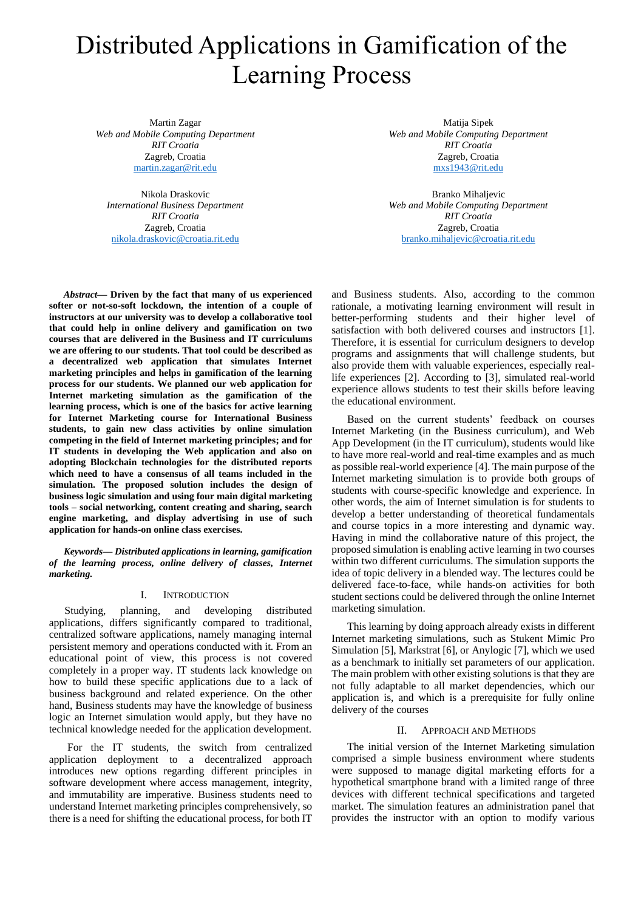# Distributed Applications in Gamification of the Learning Process

Martin Zagar *Web and Mobile Computing Department RIT Croatia* Zagreb, Croatia [martin.zagar@rit.edu](mailto:martin.zagar@rit.edu)

Nikola Draskovic *International Business Department RIT Croatia* Zagreb, Croatia [nikola.draskovic@croatia.rit.edu](mailto:nikola.draskovic@croatia.rit.edu)

*Abstract***— Driven by the fact that many of us experienced softer or not-so-soft lockdown, the intention of a couple of instructors at our university was to develop a collaborative tool that could help in online delivery and gamification on two courses that are delivered in the Business and IT curriculums we are offering to our students. That tool could be described as a decentralized web application that simulates Internet marketing principles and helps in gamification of the learning process for our students. We planned our web application for Internet marketing simulation as the gamification of the learning process, which is one of the basics for active learning for Internet Marketing course for International Business students, to gain new class activities by online simulation competing in the field of Internet marketing principles; and for IT students in developing the Web application and also on adopting Blockchain technologies for the distributed reports which need to have a consensus of all teams included in the simulation. The proposed solution includes the design of business logic simulation and using four main digital marketing tools – social networking, content creating and sharing, search engine marketing, and display advertising in use of such application for hands-on online class exercises.**

*Keywords— Distributed applications in learning, gamification of the learning process, online delivery of classes, Internet marketing.*

#### I. INTRODUCTION

Studying, planning, and developing distributed applications, differs significantly compared to traditional, centralized software applications, namely managing internal persistent memory and operations conducted with it. From an educational point of view, this process is not covered completely in a proper way. IT students lack knowledge on how to build these specific applications due to a lack of business background and related experience. On the other hand, Business students may have the knowledge of business logic an Internet simulation would apply, but they have no technical knowledge needed for the application development.

For the IT students, the switch from centralized application deployment to a decentralized approach introduces new options regarding different principles in software development where access management, integrity, and immutability are imperative. Business students need to understand Internet marketing principles comprehensively, so there is a need for shifting the educational process, for both IT

Matija Sipek *Web and Mobile Computing Department RIT Croatia* Zagreb, Croatia [mxs1943@rit.edu](mailto:mxs1943@rit.edu)

Branko Mihaljevic *Web and Mobile Computing Department RIT Croatia* Zagreb, Croatia [branko.mihaljevic@croatia.rit.edu](mailto:branko.mihaljevic@croatia.rit.edu)

and Business students. Also, according to the common rationale, a motivating learning environment will result in better-performing students and their higher level of satisfaction with both delivered courses and instructors [1]. Therefore, it is essential for curriculum designers to develop programs and assignments that will challenge students, but also provide them with valuable experiences, especially reallife experiences [2]. According to [3], simulated real-world experience allows students to test their skills before leaving the educational environment.

Based on the current students' feedback on courses Internet Marketing (in the Business curriculum), and Web App Development (in the IT curriculum), students would like to have more real-world and real-time examples and as much as possible real-world experience [4]. The main purpose of the Internet marketing simulation is to provide both groups of students with course-specific knowledge and experience. In other words, the aim of Internet simulation is for students to develop a better understanding of theoretical fundamentals and course topics in a more interesting and dynamic way. Having in mind the collaborative nature of this project, the proposed simulation is enabling active learning in two courses within two different curriculums. The simulation supports the idea of topic delivery in a blended way. The lectures could be delivered face-to-face, while hands-on activities for both student sections could be delivered through the online Internet marketing simulation.

This learning by doing approach already exists in different Internet marketing simulations, such as Stukent Mimic Pro Simulation [5], Markstrat [6], or Anylogic [7], which we used as a benchmark to initially set parameters of our application. The main problem with other existing solutions is that they are not fully adaptable to all market dependencies, which our application is, and which is a prerequisite for fully online delivery of the courses

#### II. APPROACH AND METHODS

The initial version of the Internet Marketing simulation comprised a simple business environment where students were supposed to manage digital marketing efforts for a hypothetical smartphone brand with a limited range of three devices with different technical specifications and targeted market. The simulation features an administration panel that provides the instructor with an option to modify various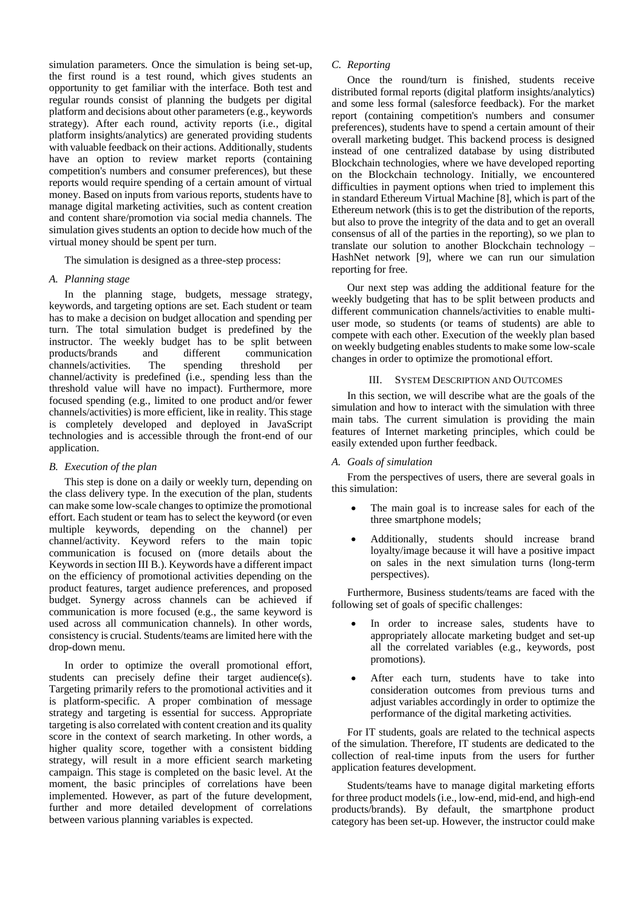simulation parameters. Once the simulation is being set-up, the first round is a test round, which gives students an opportunity to get familiar with the interface. Both test and regular rounds consist of planning the budgets per digital platform and decisions about other parameters (e.g., keywords strategy). After each round, activity reports (i.e., digital platform insights/analytics) are generated providing students with valuable feedback on their actions. Additionally, students have an option to review market reports (containing competition's numbers and consumer preferences), but these reports would require spending of a certain amount of virtual money. Based on inputs from various reports, students have to manage digital marketing activities, such as content creation and content share/promotion via social media channels. The simulation gives students an option to decide how much of the virtual money should be spent per turn.

The simulation is designed as a three-step process:

# *A. Planning stage*

In the planning stage, budgets, message strategy, keywords, and targeting options are set. Each student or team has to make a decision on budget allocation and spending per turn. The total simulation budget is predefined by the instructor. The weekly budget has to be split between<br>products/brands and different communication products/brands and different channels/activities. The spending threshold per channel/activity is predefined (i.e., spending less than the threshold value will have no impact). Furthermore, more focused spending (e.g., limited to one product and/or fewer channels/activities) is more efficient, like in reality. This stage is completely developed and deployed in JavaScript technologies and is accessible through the front-end of our application.

# *B. Execution of the plan*

This step is done on a daily or weekly turn, depending on the class delivery type. In the execution of the plan, students can make some low-scale changes to optimize the promotional effort. Each student or team has to select the keyword (or even multiple keywords, depending on the channel) per channel/activity. Keyword refers to the main topic communication is focused on (more details about the Keywords in section III B.). Keywords have a different impact on the efficiency of promotional activities depending on the product features, target audience preferences, and proposed budget. Synergy across channels can be achieved if communication is more focused (e.g., the same keyword is used across all communication channels). In other words, consistency is crucial. Students/teams are limited here with the drop-down menu.

In order to optimize the overall promotional effort, students can precisely define their target audience(s). Targeting primarily refers to the promotional activities and it is platform-specific. A proper combination of message strategy and targeting is essential for success. Appropriate targeting is also correlated with content creation and its quality score in the context of search marketing. In other words, a higher quality score, together with a consistent bidding strategy, will result in a more efficient search marketing campaign. This stage is completed on the basic level. At the moment, the basic principles of correlations have been implemented. However, as part of the future development, further and more detailed development of correlations between various planning variables is expected.

# *C. Reporting*

Once the round/turn is finished, students receive distributed formal reports (digital platform insights/analytics) and some less formal (salesforce feedback). For the market report (containing competition's numbers and consumer preferences), students have to spend a certain amount of their overall marketing budget. This backend process is designed instead of one centralized database by using distributed Blockchain technologies, where we have developed reporting on the Blockchain technology. Initially, we encountered difficulties in payment options when tried to implement this in standard Ethereum Virtual Machine [8], which is part of the Ethereum network (this is to get the distribution of the reports, but also to prove the integrity of the data and to get an overall consensus of all of the parties in the reporting), so we plan to translate our solution to another Blockchain technology – HashNet network [9], where we can run our simulation reporting for free.

Our next step was adding the additional feature for the weekly budgeting that has to be split between products and different communication channels/activities to enable multiuser mode, so students (or teams of students) are able to compete with each other. Execution of the weekly plan based on weekly budgeting enables students to make some low-scale changes in order to optimize the promotional effort.

## III. SYSTEM DESCRIPTION AND OUTCOMES

In this section, we will describe what are the goals of the simulation and how to interact with the simulation with three main tabs. The current simulation is providing the main features of Internet marketing principles, which could be easily extended upon further feedback.

# *A. Goals of simulation*

From the perspectives of users, there are several goals in this simulation:

- The main goal is to increase sales for each of the three smartphone models:
- Additionally, students should increase brand loyalty/image because it will have a positive impact on sales in the next simulation turns (long-term perspectives).

Furthermore, Business students/teams are faced with the following set of goals of specific challenges:

- In order to increase sales, students have to appropriately allocate marketing budget and set-up all the correlated variables (e.g., keywords, post promotions).
- After each turn, students have to take into consideration outcomes from previous turns and adjust variables accordingly in order to optimize the performance of the digital marketing activities.

For IT students, goals are related to the technical aspects of the simulation. Therefore, IT students are dedicated to the collection of real-time inputs from the users for further application features development.

Students/teams have to manage digital marketing efforts for three product models (i.e., low-end, mid-end, and high-end products/brands). By default, the smartphone product category has been set-up. However, the instructor could make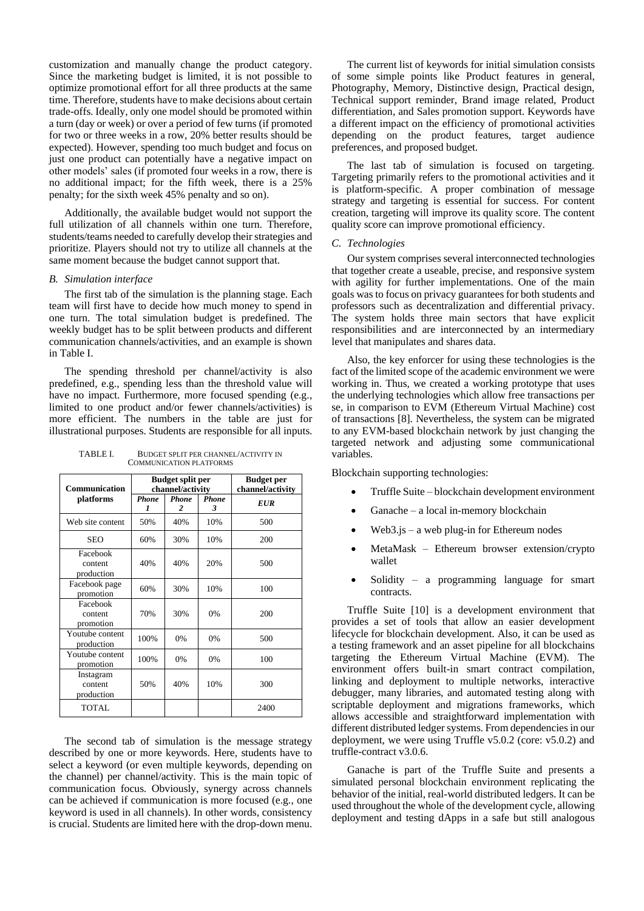customization and manually change the product category. Since the marketing budget is limited, it is not possible to optimize promotional effort for all three products at the same time. Therefore, students have to make decisions about certain trade-offs. Ideally, only one model should be promoted within a turn (day or week) or over a period of few turns (if promoted for two or three weeks in a row, 20% better results should be expected). However, spending too much budget and focus on just one product can potentially have a negative impact on other models' sales (if promoted four weeks in a row, there is no additional impact; for the fifth week, there is a 25% penalty; for the sixth week 45% penalty and so on).

Additionally, the available budget would not support the full utilization of all channels within one turn. Therefore, students/teams needed to carefully develop their strategies and prioritize. Players should not try to utilize all channels at the same moment because the budget cannot support that.

## *B. Simulation interface*

The first tab of the simulation is the planning stage. Each team will first have to decide how much money to spend in one turn. The total simulation budget is predefined. The weekly budget has to be split between products and different communication channels/activities, and an example is shown in Table I.

The spending threshold per channel/activity is also predefined, e.g., spending less than the threshold value will have no impact. Furthermore, more focused spending (e.g., limited to one product and/or fewer channels/activities) is more efficient. The numbers in the table are just for illustrational purposes. Students are responsible for all inputs.

TABLE I. BUDGET SPLIT PER CHANNEL/ACTIVITY IN COMMUNICATION PLATFORMS

| Communication<br>platforms         | <b>Budget split per</b><br>channel/activity |                   |                   | <b>Budget</b> per<br>channel/activity |
|------------------------------------|---------------------------------------------|-------------------|-------------------|---------------------------------------|
|                                    | <b>Phone</b><br>1                           | <b>Phone</b><br>2 | <b>Phone</b><br>3 | <b>EUR</b>                            |
| Web site content                   | 50%                                         | 40%               | 10%               | 500                                   |
| <b>SEO</b>                         | 60%                                         | 30%               | 10%               | 200                                   |
| Facebook<br>content<br>production  | 40%                                         | 40%               | 20%               | 500                                   |
| Facebook page<br>promotion         | 60%                                         | 30%               | 10%               | 100                                   |
| Facebook<br>content<br>promotion   | 70%                                         | 30%               | 0%                | 200                                   |
| Youtube content<br>production      | 100%                                        | 0%                | 0%                | 500                                   |
| Youtube content<br>promotion       | 100%                                        | 0%                | 0%                | 100                                   |
| Instagram<br>content<br>production | 50%                                         | 40%               | 10%               | 300                                   |
| TOTAL                              |                                             |                   |                   | 2400                                  |

The second tab of simulation is the message strategy described by one or more keywords. Here, students have to select a keyword (or even multiple keywords, depending on the channel) per channel/activity. This is the main topic of communication focus. Obviously, synergy across channels can be achieved if communication is more focused (e.g., one keyword is used in all channels). In other words, consistency is crucial. Students are limited here with the drop-down menu.

The current list of keywords for initial simulation consists of some simple points like Product features in general, Photography, Memory, Distinctive design, Practical design, Technical support reminder, Brand image related, Product differentiation, and Sales promotion support. Keywords have a different impact on the efficiency of promotional activities depending on the product features, target audience preferences, and proposed budget.

The last tab of simulation is focused on targeting. Targeting primarily refers to the promotional activities and it is platform-specific. A proper combination of message strategy and targeting is essential for success. For content creation, targeting will improve its quality score. The content quality score can improve promotional efficiency.

## *C. Technologies*

Our system comprises several interconnected technologies that together create a useable, precise, and responsive system with agility for further implementations. One of the main goals was to focus on privacy guarantees for both students and professors such as decentralization and differential privacy. The system holds three main sectors that have explicit responsibilities and are interconnected by an intermediary level that manipulates and shares data.

Also, the key enforcer for using these technologies is the fact of the limited scope of the academic environment we were working in. Thus, we created a working prototype that uses the underlying technologies which allow free transactions per se, in comparison to EVM (Ethereum Virtual Machine) cost of transactions [8]. Nevertheless, the system can be migrated to any EVM-based blockchain network by just changing the targeted network and adjusting some communicational variables.

Blockchain supporting technologies:

- Truffle Suite blockchain development environment
- Ganache a local in-memory blockchain
- $Web3.js a web plug-in for Ethernet modes$
- MetaMask Ethereum browser extension/crypto wallet
- Solidity a programming language for smart contracts.

Truffle Suite [10] is a development environment that provides a set of tools that allow an easier development lifecycle for blockchain development. Also, it can be used as a testing framework and an asset pipeline for all blockchains targeting the Ethereum Virtual Machine (EVM). The environment offers built-in smart contract compilation, linking and deployment to multiple networks, interactive debugger, many libraries, and automated testing along with scriptable deployment and migrations frameworks, which allows accessible and straightforward implementation with different distributed ledger systems. From dependencies in our deployment, we were using Truffle v5.0.2 (core: v5.0.2) and truffle-contract v3.0.6.

Ganache is part of the Truffle Suite and presents a simulated personal blockchain environment replicating the behavior of the initial, real-world distributed ledgers. It can be used throughout the whole of the development cycle, allowing deployment and testing dApps in a safe but still analogous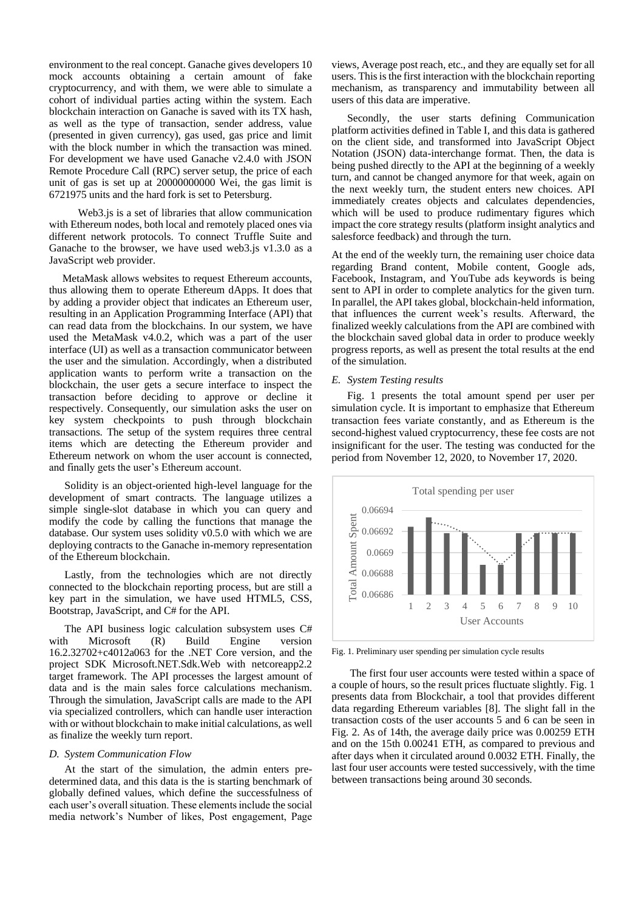environment to the real concept. Ganache gives developers 10 mock accounts obtaining a certain amount of fake cryptocurrency, and with them, we were able to simulate a cohort of individual parties acting within the system. Each blockchain interaction on Ganache is saved with its TX hash, as well as the type of transaction, sender address, value (presented in given currency), gas used, gas price and limit with the block number in which the transaction was mined. For development we have used Ganache v2.4.0 with JSON Remote Procedure Call (RPC) server setup, the price of each unit of gas is set up at 20000000000 Wei, the gas limit is 6721975 units and the hard fork is set to Petersburg.

 Web3.js is a set of libraries that allow communication with Ethereum nodes, both local and remotely placed ones via different network protocols. To connect Truffle Suite and Ganache to the browser, we have used web3.js v1.3.0 as a JavaScript web provider.

 MetaMask allows websites to request Ethereum accounts, thus allowing them to operate Ethereum dApps. It does that by adding a provider object that indicates an Ethereum user, resulting in an Application Programming Interface (API) that can read data from the blockchains. In our system, we have used the MetaMask v4.0.2, which was a part of the user interface (UI) as well as a transaction communicator between the user and the simulation. Accordingly, when a distributed application wants to perform write a transaction on the blockchain, the user gets a secure interface to inspect the transaction before deciding to approve or decline it respectively. Consequently, our simulation asks the user on key system checkpoints to push through blockchain transactions. The setup of the system requires three central items which are detecting the Ethereum provider and Ethereum network on whom the user account is connected, and finally gets the user's Ethereum account.

Solidity is an object-oriented high-level language for the development of smart contracts. The language utilizes a simple single-slot database in which you can query and modify the code by calling the functions that manage the database. Our system uses solidity v0.5.0 with which we are deploying contracts to the Ganache in-memory representation of the Ethereum blockchain.

Lastly, from the technologies which are not directly connected to the blockchain reporting process, but are still a key part in the simulation, we have used HTML5, CSS, Bootstrap, JavaScript, and C# for the API.

The API business logic calculation subsystem uses C# with Microsoft (R) Build Engine version 16.2.32702+c4012a063 for the .NET Core version, and the project SDK Microsoft.NET.Sdk.Web with netcoreapp2.2 target framework. The API processes the largest amount of data and is the main sales force calculations mechanism. Through the simulation, JavaScript calls are made to the API via specialized controllers, which can handle user interaction with or without blockchain to make initial calculations, as well as finalize the weekly turn report.

#### *D. System Communication Flow*

At the start of the simulation, the admin enters predetermined data, and this data is the is starting benchmark of globally defined values, which define the successfulness of each user's overall situation. These elements include the social media network's Number of likes, Post engagement, Page

views, Average post reach, etc., and they are equally set for all users. This is the first interaction with the blockchain reporting mechanism, as transparency and immutability between all users of this data are imperative.

Secondly, the user starts defining Communication platform activities defined in Table I, and this data is gathered on the client side, and transformed into JavaScript Object Notation (JSON) data-interchange format. Then, the data is being pushed directly to the API at the beginning of a weekly turn, and cannot be changed anymore for that week, again on the next weekly turn, the student enters new choices. API immediately creates objects and calculates dependencies, which will be used to produce rudimentary figures which impact the core strategy results (platform insight analytics and salesforce feedback) and through the turn.

At the end of the weekly turn, the remaining user choice data regarding Brand content, Mobile content, Google ads, Facebook, Instagram, and YouTube ads keywords is being sent to API in order to complete analytics for the given turn. In parallel, the API takes global, blockchain-held information, that influences the current week's results. Afterward, the finalized weekly calculations from the API are combined with the blockchain saved global data in order to produce weekly progress reports, as well as present the total results at the end of the simulation.

#### *E. System Testing results*

Fig. 1 presents the total amount spend per user per simulation cycle. It is important to emphasize that Ethereum transaction fees variate constantly, and as Ethereum is the second-highest valued cryptocurrency, these fee costs are not insignificant for the user. The testing was conducted for the period from November 12, 2020, to November 17, 2020.



Fig. 1. Preliminary user spending per simulation cycle results

The first four user accounts were tested within a space of a couple of hours, so the result prices fluctuate slightly. Fig. 1 presents data from Blockchair, a tool that provides different data regarding Ethereum variables [8]. The slight fall in the transaction costs of the user accounts 5 and 6 can be seen in Fig. 2. As of 14th, the average daily price was 0.00259 ETH and on the 15th 0.00241 ETH, as compared to previous and after days when it circulated around 0.0032 ETH. Finally, the last four user accounts were tested successively, with the time between transactions being around 30 seconds.